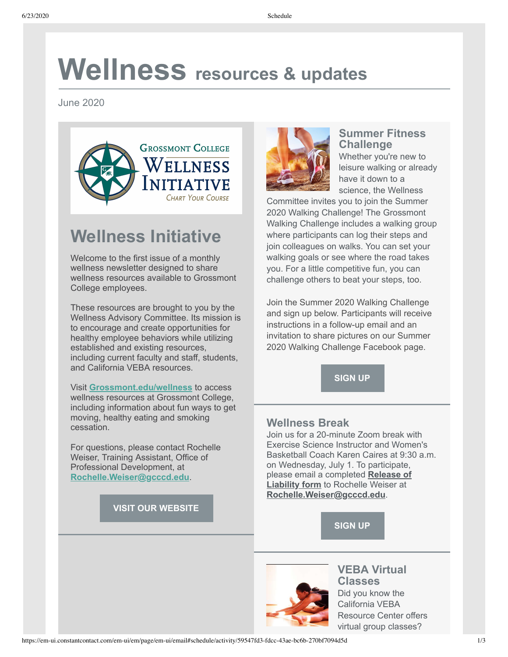# **Wellness resources & updates**

June 2020



## **Wellness Initiative**

Welcome to the first issue of a monthly wellness newsletter designed to share wellness resources available to Grossmont College employees.

These resources are brought to you by the Wellness Advisory Committee. Its mission is to encourage and create opportunities for healthy employee behaviors while utilizing established and existing resources, including current faculty and staff, students, and California VEBA resources.

Visit **[Grossmont.edu/wellness](https://www.grossmont.edu/wellness)** to access wellness resources at Grossmont College, including information about fun ways to get moving, healthy eating and smoking cessation.

For questions, please contact Rochelle Weiser, Training Assistant, Office of Professional Development, at **[Rochelle.Weiser@gcccd.edu](mailto:Rochelle.Weiser@gcccd.edu)**.

**[VISIT OUR WEBSITE](https://grossmont.edu/faculty-staff/wellness/default.aspx)**



#### **Summer Fitness Challenge**

Whether you're new to leisure walking or already have it down to a science, the Wellness

Committee invites you to join the Summer 2020 Walking Challenge! The Grossmont Walking Challenge includes a walking group where participants can log their steps and join colleagues on walks. You can set your walking goals or see where the road takes you. For a little competitive fun, you can challenge others to beat your steps, too.

Join the Summer 2020 Walking Challenge and sign up below. Participants will receive instructions in a follow-up email and an invitation to share pictures on our Summer 2020 Walking Challenge Facebook page.

**[SIGN UP](https://forms.gle/3kF2bB1zTjgJYHEVA)**

#### **Wellness Break**

Join us for a 20-minute Zoom break with Exercise Science Instructor and Women's Basketball Coach Karen Caires at 9:30 a.m. on Wednesday, July 1. To participate, [please email a completed](https://grossmont.edu/faculty-staff/wellness/docs/liability-release-form.pdf) **Release of Liability form** to Rochelle Weiser at **[Rochelle.Weiser@gcccd.edu](mailto:Rochelle.Weiser@gcccd.edu)**.





**VEBA Virtual Classes** Did you know the California VEBA Resource Center offers virtual group classes?